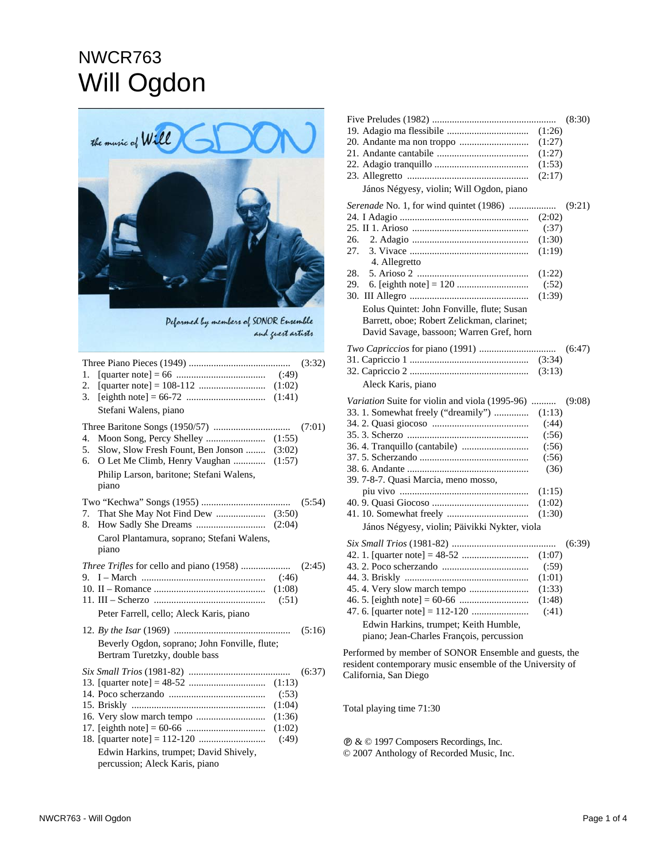## NWCR763 Will Ogdon



Pelormed by members of SONOR Ensemble and guest artists

| 1.<br>2.<br>3. | (1:02)<br>(1:41)<br>Stefani Walens, piano                                                                                                | (3:32) |
|----------------|------------------------------------------------------------------------------------------------------------------------------------------|--------|
| 4.<br>5.<br>6. | Slow, Slow Fresh Fount, Ben Jonson  (3:02)<br>O Let Me Climb, Henry Vaughan  (1:57)<br>Philip Larson, baritone; Stefani Walens,<br>piano | (7:01) |
| 7.<br>8.       | Carol Plantamura, soprano; Stefani Walens,<br>piano                                                                                      | (5:54) |
| 9.             | (1:08)<br>(.51)<br>Peter Farrell, cello; Aleck Karis, piano                                                                              | (2:45) |
|                | Beverly Ogdon, soprano; John Fonville, flute;<br>Bertram Turetzky, double bass                                                           | (5:16) |
|                | (.53)<br>(1:04)<br>(1:36)<br>(1:02)<br>(.49)<br>Edwin Harkins, trumpet; David Shively,<br>percussion; Aleck Karis, piano                 | (6:37) |

| (8:30)                                                                                                             |
|--------------------------------------------------------------------------------------------------------------------|
| (1:26)                                                                                                             |
| (1:27)                                                                                                             |
| (1:27)                                                                                                             |
| (1:53)                                                                                                             |
| (2:17)                                                                                                             |
| János Négyesy, violin; Will Ogdon, piano                                                                           |
|                                                                                                                    |
| Serenade No. 1, for wind quintet (1986)<br>(9:21)                                                                  |
| (2:02)                                                                                                             |
| (.37)                                                                                                              |
| 26.<br>(1:30)                                                                                                      |
| 27.<br>(1:19)                                                                                                      |
| 4. Allegretto                                                                                                      |
| 28.<br>(1:22)                                                                                                      |
| 29.<br>(.52)                                                                                                       |
| (1:39)                                                                                                             |
| Eolus Quintet: John Fonville, flute; Susan                                                                         |
| Barrett, oboe; Robert Zelickman, clarinet;                                                                         |
| David Savage, bassoon; Warren Gref, horn                                                                           |
|                                                                                                                    |
| (6:47)                                                                                                             |
| (3:34)                                                                                                             |
| (3:13)                                                                                                             |
|                                                                                                                    |
| Aleck Karis, piano                                                                                                 |
|                                                                                                                    |
| Variation Suite for violin and viola (1995-96)<br>.<br>(9:08)                                                      |
| 33. 1. Somewhat freely ("dreamily")<br>(1:13)                                                                      |
| (.44)                                                                                                              |
| (.56)                                                                                                              |
| (.56)                                                                                                              |
| (.56)                                                                                                              |
| (36)                                                                                                               |
| 39. 7-8-7. Quasi Marcia, meno mosso,                                                                               |
| (1:15)                                                                                                             |
| (1:02)                                                                                                             |
| (1:30)                                                                                                             |
| János Négyesy, violin; Päivikki Nykter, viola                                                                      |
| (6:39)                                                                                                             |
| (1:07)                                                                                                             |
| (.59)                                                                                                              |
| (1:01)                                                                                                             |
| (1:33)                                                                                                             |
| (1:48)                                                                                                             |
| (.41)                                                                                                              |
| Edwin Harkins, trumpet; Keith Humble,                                                                              |
|                                                                                                                    |
| piano; Jean-Charles François, percussion                                                                           |
| Performed by member of SONOR Ensemble and guests, the<br>resident contemporary music ensemble of the University of |

Total playing time 71:30

California, San Diego

Ê & © 1997 Composers Recordings, Inc. © 2007 Anthology of Recorded Music, Inc.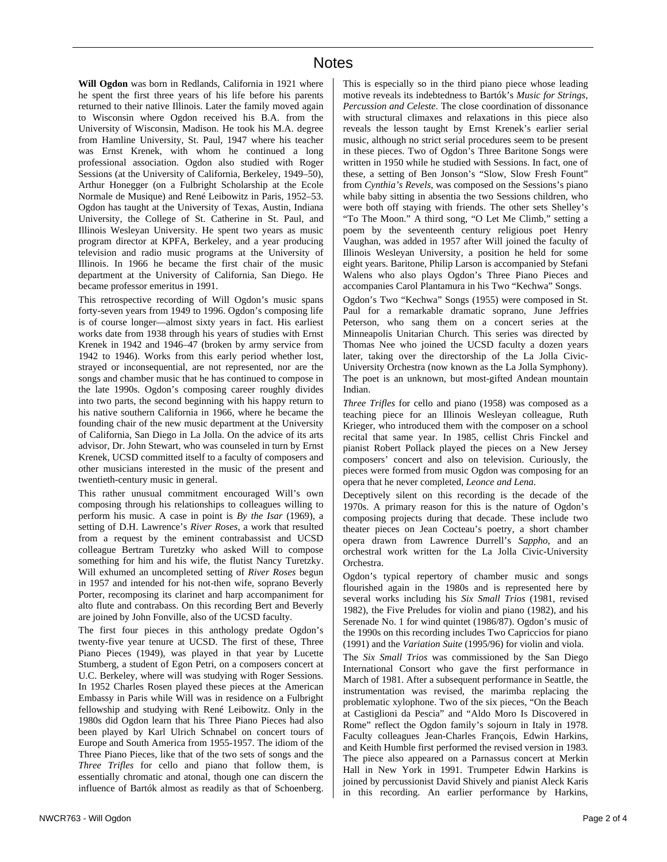**Will Ogdon** was born in Redlands, California in 1921 where he spent the first three years of his life before his parents returned to their native Illinois. Later the family moved again to Wisconsin where Ogdon received his B.A. from the University of Wisconsin, Madison. He took his M.A. degree from Hamline University, St. Paul, 1947 where his teacher was Ernst Krenek, with whom he continued a long professional association. Ogdon also studied with Roger Sessions (at the University of California, Berkeley, 1949–50), Arthur Honegger (on a Fulbright Scholarship at the Ecole Normale de Musique) and René Leibowitz in Paris, 1952–53. Ogdon has taught at the University of Texas, Austin, Indiana University, the College of St. Catherine in St. Paul, and Illinois Wesleyan University. He spent two years as music program director at KPFA, Berkeley, and a year producing television and radio music programs at the University of Illinois. In 1966 he became the first chair of the music department at the University of California, San Diego. He became professor emeritus in 1991.

This retrospective recording of Will Ogdon's music spans forty-seven years from 1949 to 1996. Ogdon's composing life is of course longer—almost sixty years in fact. His earliest works date from 1938 through his years of studies with Ernst Krenek in 1942 and 1946–47 (broken by army service from 1942 to 1946). Works from this early period whether lost, strayed or inconsequential, are not represented, nor are the songs and chamber music that he has continued to compose in the late 1990s. Ogdon's composing career roughly divides into two parts, the second beginning with his happy return to his native southern California in 1966, where he became the founding chair of the new music department at the University of California, San Diego in La Jolla. On the advice of its arts advisor, Dr. John Stewart, who was counseled in turn by Ernst Krenek, UCSD committed itself to a faculty of composers and other musicians interested in the music of the present and twentieth-century music in general.

This rather unusual commitment encouraged Will's own composing through his relationships to colleagues willing to perform his music. A case in point is *By the Isar* (1969), a setting of D.H. Lawrence's *River Roses*, a work that resulted from a request by the eminent contrabassist and UCSD colleague Bertram Turetzky who asked Will to compose something for him and his wife, the flutist Nancy Turetzky. Will exhumed an uncompleted setting of *River Roses* begun in 1957 and intended for his not-then wife, soprano Beverly Porter, recomposing its clarinet and harp accompaniment for alto flute and contrabass. On this recording Bert and Beverly are joined by John Fonville, also of the UCSD faculty.

The first four pieces in this anthology predate Ogdon's twenty-five year tenure at UCSD. The first of these, Three Piano Pieces (1949), was played in that year by Lucette Stumberg, a student of Egon Petri, on a composers concert at U.C. Berkeley, where will was studying with Roger Sessions. In 1952 Charles Rosen played these pieces at the American Embassy in Paris while Will was in residence on a Fulbright fellowship and studying with René Leibowitz. Only in the 1980s did Ogdon learn that his Three Piano Pieces had also been played by Karl Ulrich Schnabel on concert tours of Europe and South America from 1955-1957. The idiom of the Three Piano Pieces, like that of the two sets of songs and the *Three Trifles* for cello and piano that follow them, is essentially chromatic and atonal, though one can discern the influence of Bartók almost as readily as that of Schoenberg.

This is especially so in the third piano piece whose leading motive reveals its indebtedness to Bartók's *Music for Strings, Percussion and Celeste*. The close coordination of dissonance with structural climaxes and relaxations in this piece also reveals the lesson taught by Ernst Krenek's earlier serial music, although no strict serial procedures seem to be present in these pieces. Two of Ogdon's Three Baritone Songs were written in 1950 while he studied with Sessions. In fact, one of these, a setting of Ben Jonson's "Slow, Slow Fresh Fount" from *Cynthia's Revels,* was composed on the Sessions's piano while baby sitting in absentia the two Sessions children, who were both off staying with friends. The other sets Shelley's "To The Moon." A third song, "O Let Me Climb," setting a poem by the seventeenth century religious poet Henry Vaughan, was added in 1957 after Will joined the faculty of Illinois Wesleyan University, a position he held for some eight years. Baritone, Philip Larson is accompanied by Stefani Walens who also plays Ogdon's Three Piano Pieces and accompanies Carol Plantamura in his Two "Kechwa" Songs.

Ogdon's Two "Kechwa" Songs (1955) were composed in St. Paul for a remarkable dramatic soprano, June Jeffries Peterson, who sang them on a concert series at the Minneapolis Unitarian Church. This series was directed by Thomas Nee who joined the UCSD faculty a dozen years later, taking over the directorship of the La Jolla Civic-University Orchestra (now known as the La Jolla Symphony). The poet is an unknown, but most-gifted Andean mountain Indian.

*Three Trifles* for cello and piano (1958) was composed as a teaching piece for an Illinois Wesleyan colleague, Ruth Krieger, who introduced them with the composer on a school recital that same year. In 1985, cellist Chris Finckel and pianist Robert Pollack played the pieces on a New Jersey composers' concert and also on television. Curiously, the pieces were formed from music Ogdon was composing for an opera that he never completed, *Leonce and Lena*.

Deceptively silent on this recording is the decade of the 1970s. A primary reason for this is the nature of Ogdon's composing projects during that decade. These include two theater pieces on Jean Cocteau's poetry, a short chamber opera drawn from Lawrence Durrell's *Sappho*, and an orchestral work written for the La Jolla Civic-University Orchestra.

Ogdon's typical repertory of chamber music and songs flourished again in the 1980s and is represented here by several works including his *Six Small Trios* (1981, revised 1982), the Five Preludes for violin and piano (1982), and his Serenade No. 1 for wind quintet (1986/87). Ogdon's music of the 1990s on this recording includes Two Capriccios for piano (1991) and the *Variation Suite* (1995/96) for violin and viola.

The *Six Small Trios* was commissioned by the San Diego International Consort who gave the first performance in March of 1981. After a subsequent performance in Seattle, the instrumentation was revised, the marimba replacing the problematic xylophone. Two of the six pieces, "On the Beach at Castiglioni da Pescia" and "Aldo Moro Is Discovered in Rome" reflect the Ogdon family's sojourn in Italy in 1978. Faculty colleagues Jean-Charles François, Edwin Harkins, and Keith Humble first performed the revised version in 1983. The piece also appeared on a Parnassus concert at Merkin Hall in New York in 1991. Trumpeter Edwin Harkins is joined by percussionist David Shively and pianist Aleck Karis in this recording. An earlier performance by Harkins,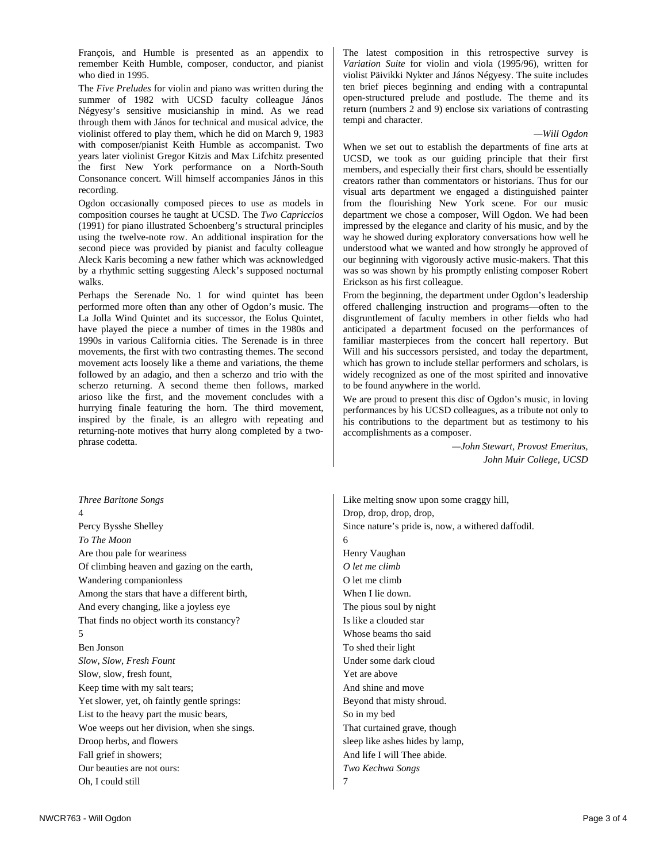François, and Humble is presented as an appendix to remember Keith Humble, composer, conductor, and pianist who died in 1995.

The *Five Preludes* for violin and piano was written during the summer of 1982 with UCSD faculty colleague János Négyesy's sensitive musicianship in mind. As we read through them with János for technical and musical advice, the violinist offered to play them, which he did on March 9, 1983 with composer/pianist Keith Humble as accompanist. Two years later violinist Gregor Kitzis and Max Lifchitz presented the first New York performance on a North-South Consonance concert. Will himself accompanies János in this recording.

Ogdon occasionally composed pieces to use as models in composition courses he taught at UCSD. The *Two Capriccios* (1991) for piano illustrated Schoenberg's structural principles using the twelve-note row. An additional inspiration for the second piece was provided by pianist and faculty colleague Aleck Karis becoming a new father which was acknowledged by a rhythmic setting suggesting Aleck's supposed nocturnal walks.

Perhaps the Serenade No. 1 for wind quintet has been performed more often than any other of Ogdon's music. The La Jolla Wind Quintet and its successor, the Eolus Quintet, have played the piece a number of times in the 1980s and 1990s in various California cities. The Serenade is in three movements, the first with two contrasting themes. The second movement acts loosely like a theme and variations, the theme followed by an adagio, and then a scherzo and trio with the scherzo returning. A second theme then follows, marked arioso like the first, and the movement concludes with a hurrying finale featuring the horn. The third movement, inspired by the finale, is an allegro with repeating and returning-note motives that hurry along completed by a twophrase codetta.

*Three Baritone Songs*  4 Percy Bysshe Shelley *To The Moon*  Are thou pale for weariness Of climbing heaven and gazing on the earth, Wandering companionless Among the stars that have a different birth, And every changing, like a joyless eye That finds no object worth its constancy? 5 Ben Jonson *Slow, Slow, Fresh Fount*  Slow, slow, fresh fount, Keep time with my salt tears; Yet slower, yet, oh faintly gentle springs: List to the heavy part the music bears, Woe weeps out her division, when she sings. Droop herbs, and flowers Fall grief in showers; Our beauties are not ours: Oh, I could still

The latest composition in this retrospective survey is *Variation Suite* for violin and viola (1995/96), written for violist Päivikki Nykter and János Négyesy. The suite includes ten brief pieces beginning and ending with a contrapuntal open-structured prelude and postlude. The theme and its return (numbers 2 and 9) enclose six variations of contrasting tempi and character.

## *—Will Ogdon*

When we set out to establish the departments of fine arts at UCSD, we took as our guiding principle that their first members, and especially their first chars, should be essentially creators rather than commentators or historians. Thus for our visual arts department we engaged a distinguished painter from the flourishing New York scene. For our music department we chose a composer, Will Ogdon. We had been impressed by the elegance and clarity of his music, and by the way he showed during exploratory conversations how well he understood what we wanted and how strongly he approved of our beginning with vigorously active music-makers. That this was so was shown by his promptly enlisting composer Robert Erickson as his first colleague.

From the beginning, the department under Ogdon's leadership offered challenging instruction and programs—often to the disgruntlement of faculty members in other fields who had anticipated a department focused on the performances of familiar masterpieces from the concert hall repertory. But Will and his successors persisted, and today the department, which has grown to include stellar performers and scholars, is widely recognized as one of the most spirited and innovative to be found anywhere in the world.

We are proud to present this disc of Ogdon's music, in loving performances by his UCSD colleagues, as a tribute not only to his contributions to the department but as testimony to his accomplishments as a composer.

> *—John Stewart, Provost Emeritus, John Muir College, UCSD*

Like melting snow upon some craggy hill, Drop, drop, drop, drop, Since nature's pride is, now, a withered daffodil. 6 Henry Vaughan *O let me climb*  O let me climb When I lie down. The pious soul by night Is like a clouded star Whose beams tho said To shed their light Under some dark cloud Yet are above And shine and move Beyond that misty shroud. So in my bed That curtained grave, though sleep like ashes hides by lamp, And life I will Thee abide. *Two Kechwa Songs*  7